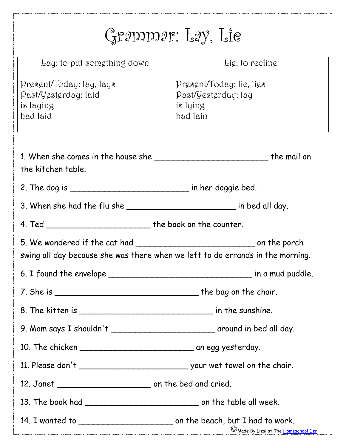| $Q$ paping $P: LQ$ , $LQ$                                                      |                                                                         |  |
|--------------------------------------------------------------------------------|-------------------------------------------------------------------------|--|
| Lay: to put something down                                                     | Lig: to reeline                                                         |  |
| Present/Today: lay, lays<br>Past/Yesterday: laid<br>is laying<br>had laid      | Present/Today: lie, lies<br>Past/Yesterday: lay<br>is lying<br>had lain |  |
| the kitchen table.                                                             |                                                                         |  |
|                                                                                |                                                                         |  |
|                                                                                |                                                                         |  |
|                                                                                |                                                                         |  |
| swing all day because she was there when we left to do errands in the morning. |                                                                         |  |
|                                                                                |                                                                         |  |
|                                                                                |                                                                         |  |
|                                                                                |                                                                         |  |
|                                                                                |                                                                         |  |
|                                                                                |                                                                         |  |
|                                                                                |                                                                         |  |
|                                                                                |                                                                         |  |
|                                                                                |                                                                         |  |
|                                                                                | C Made By Liesl at The <u>Homeschool Den</u>                            |  |

j,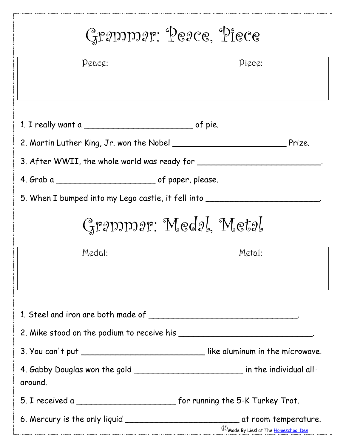| Grammar: Peace, Piece                                                                       |                                       |  |
|---------------------------------------------------------------------------------------------|---------------------------------------|--|
| $P$ <i>g</i> ac $\alpha$ :                                                                  | $\mathcal{P}$ icec:                   |  |
|                                                                                             |                                       |  |
|                                                                                             |                                       |  |
|                                                                                             |                                       |  |
|                                                                                             |                                       |  |
| 3. After WWII, the whole world was ready for ________                                       |                                       |  |
|                                                                                             |                                       |  |
| 5. When I bumped into my Lego castle, it fell into                                          |                                       |  |
| Grammar: Medal, Metal                                                                       |                                       |  |
| Medal:                                                                                      | Metal:                                |  |
|                                                                                             |                                       |  |
|                                                                                             |                                       |  |
|                                                                                             |                                       |  |
|                                                                                             |                                       |  |
| 3. You can't put ______________________________like aluminum in the microwave.              |                                       |  |
| 4. Gabby Douglas won the gold ___________________________ in the individual all-<br>around. |                                       |  |
| 5. I received a _____________________________ for running the 5-K Turkey Trot.              |                                       |  |
|                                                                                             | C Made By Liesl at The Homeschool Den |  |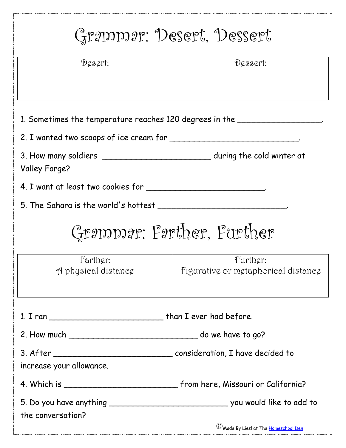| Grammar: Desert, Dessert                                                                        |                                                 |  |
|-------------------------------------------------------------------------------------------------|-------------------------------------------------|--|
| $D$ <i>cscrt:</i>                                                                               | Dessert:                                        |  |
| 1. Sometimes the temperature reaches 120 degrees in the ________________________                |                                                 |  |
|                                                                                                 |                                                 |  |
| 3. How many soldiers ________________________________during the cold winter at<br>Valley Forge? |                                                 |  |
|                                                                                                 |                                                 |  |
| 5. The Sahara is the world's hottest                                                            |                                                 |  |
| Grammar: Farther, Further                                                                       |                                                 |  |
| Farther:<br>A physical distance                                                                 | Further:<br>Figurative or metaphorical distance |  |
|                                                                                                 |                                                 |  |
|                                                                                                 |                                                 |  |
| increase your allowance.                                                                        |                                                 |  |
|                                                                                                 |                                                 |  |
| the conversation?                                                                               |                                                 |  |
|                                                                                                 | C Made By Liesl at The Homeschool Den           |  |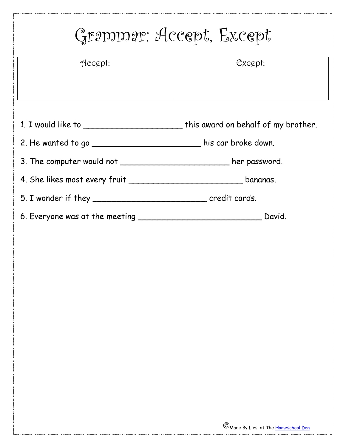| Accept:                                                              | Exegpt:                                                                          |
|----------------------------------------------------------------------|----------------------------------------------------------------------------------|
|                                                                      | 1. I would like to __________________________this award on behalf of my brother. |
| 2. He wanted to go ________________________ his car broke down.      |                                                                                  |
| 3. The computer would not ____________________________ her password. |                                                                                  |
|                                                                      |                                                                                  |
|                                                                      |                                                                                  |
|                                                                      |                                                                                  |
|                                                                      |                                                                                  |
|                                                                      |                                                                                  |
|                                                                      |                                                                                  |
|                                                                      |                                                                                  |
|                                                                      |                                                                                  |
|                                                                      |                                                                                  |

 $\frac{1}{2}$ 

أسدد